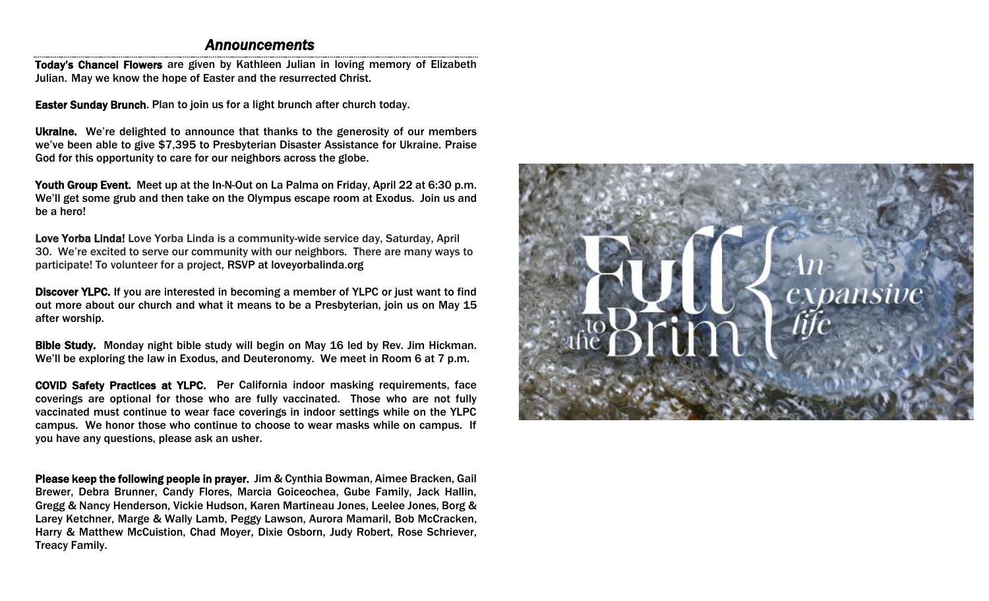### *Announcements*

Today's Chancel Flowers are given by Kathleen Julian in loving memory of Elizabeth Julian. May we know the hope of Easter and the resurrected Christ.

Easter Sunday Brunch. Plan to join us for a light brunch after church today.

Ukraine. We're delighted to announce that thanks to the generosity of our members we've been able to give \$7,395 to Presbyterian Disaster Assistance for Ukraine. Praise God for this opportunity to care for our neighbors across the globe.

Youth Group Event. Meet up at the In-N-Out on La Palma on Friday, April 22 at 6:30 p.m. We'll get some grub and then take on the Olympus escape room at Exodus. Join us and be a hero!

Love Yorba Linda! Love Yorba Linda is a community-wide service day, Saturday, April 30. We're excited to serve our community with our neighbors. There are many ways to participate! To volunteer for a project, [RSVP at](https://protect-us.mimecast.com/s/yEmaC4xJB0CxDRfWZ4fj?domain=ylpc.us10.list-manage.com) loveyorbalinda.org

Discover YLPC. If you are interested in becoming a member of YLPC or just want to find out more about our church and what it means to be a Presbyterian, join us on May 15 after worship.

Bible Study. Monday night bible study will begin on May 16 led by Rev. Jim Hickman. We'll be exploring the law in Exodus, and Deuteronomy. We meet in Room 6 at 7 p.m.

COVID Safety Practices at YLPC. Per California indoor masking requirements, face coverings are optional for those who are fully vaccinated. Those who are not fully vaccinated must continue to wear face coverings in indoor settings while on the YLPC campus. We honor those who continue to choose to wear masks while on campus. If you have any questions, please ask an usher.

Please keep the following people in prayer. Jim & Cynthia Bowman, Aimee Bracken, Gail Brewer, Debra Brunner, Candy Flores, Marcia Goiceochea, Gube Family, Jack Hallin, Gregg & Nancy Henderson, Vickie Hudson, Karen Martineau Jones, Leelee Jones, Borg & Larey Ketchner, Marge & Wally Lamb, Peggy Lawson, Aurora Mamaril, Bob McCracken, Harry & Matthew McCuistion, Chad Moyer, Dixie Osborn, Judy Robert, Rose Schriever, Treacy Family.

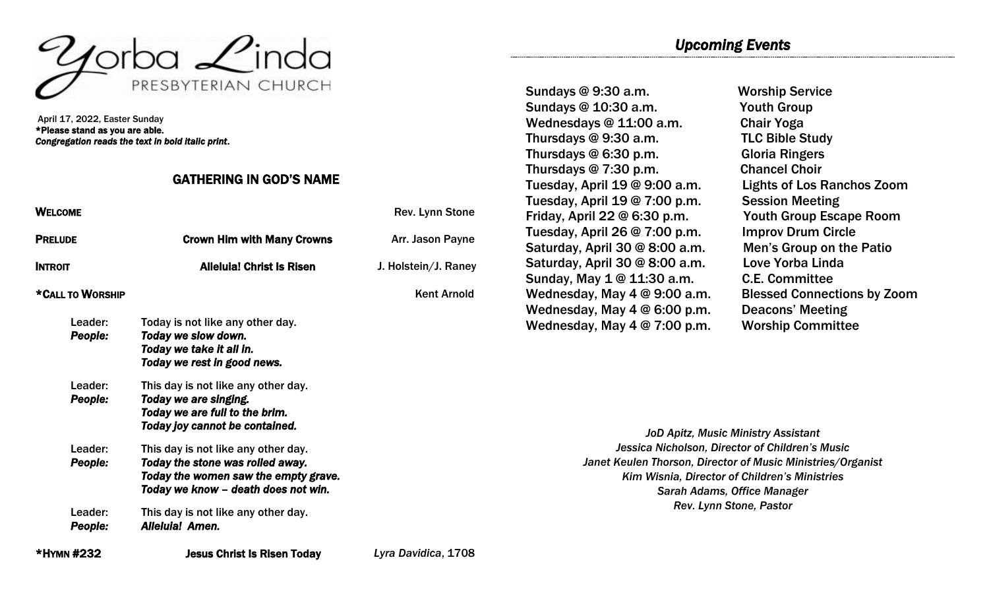

April 17, 2022, Easter Sunday \*Please stand as you are able. *Congregation reads the text in bold italic print*.

### GATHERING IN GOD'S NAME

| <b>WELCOME</b>     |                                                                                                                                                        | Rev. Lynn Stone      | Fri           |
|--------------------|--------------------------------------------------------------------------------------------------------------------------------------------------------|----------------------|---------------|
| <b>PRELUDE</b>     | <b>Crown Him with Many Crowns</b>                                                                                                                      | Arr. Jason Payne     | Tu<br>Sa      |
| <b>INTROIT</b>     | <b>Alleluia! Christ Is Risen</b>                                                                                                                       | J. Holstein/J. Raney | Sa<br>Su      |
| *CALL TO WORSHIP   |                                                                                                                                                        | <b>Kent Arnold</b>   | W             |
| Leader:<br>People: | Today is not like any other day.<br>Today we slow down.<br>Today we take it all in.<br>Today we rest in good news.                                     |                      | W<br><b>W</b> |
| Leader:<br>People: | This day is not like any other day.<br>Today we are singing.<br>Today we are full to the brim.<br>Today joy cannot be contained.                       |                      |               |
| Leader:<br>People: | This day is not like any other day.<br>Today the stone was rolled away.<br>Today the women saw the empty grave.<br>Today we know - death does not win. |                      |               |
| Leader:<br>People: | This day is not like any other day.<br>Alleluia! Amen.                                                                                                 |                      |               |
| *HYMN #232         | <b>Jesus Christ Is Risen Today</b>                                                                                                                     | Lyra Davidica, 1708  |               |

Sundays @ 9:30 a.m. Worship Service Sundays @ 10:30 a.m. Youth Group Wednesdays @ 11:00 a.m. Chair Yoga Thursdays @ 9:30 a.m. TLC Bible Study Thursdays @ 6:30 p.m. Gloria Ringers Thursdays @ 7:30 p.m. Chancel Choir Tuesday, April 19 @ 9:00 a.m. Lights of Los Ranchos Zoom Tuesday, April 19 @ 7:00 p.m. Session Meeting  $F$ iday, April 22 @ 6:30 p.m. Youth Group Escape Room  $T$ uesday, April 26 @ 7:00 p.m. Improv Drum Circle Iturday, April 30  $@$  8:00 a.m. Men's Group on the Patio Saturday, April 30 @ 8:00 a.m. Love Yorba Linda  $\mathsf{index}, \mathsf{May} \mathbf{\mathbf{1}} \circledcirc \mathbf{11}:30 \; \mathsf{a.m.} \qquad \qquad \mathsf{C.E.} \; \mathsf{Committee}$ ednesday, May 4 @ 6:00 p.m. Deacons' Meeting ednesday, May 4 @ 7:00 p.m. Worship Committee

ednesday, May 4 @ 9:00 a.m. Blessed Connections by Zoom

*JoD Apitz, Music Ministry Assistant Jessica Nicholson, Director of Children's Music Janet Keulen Thorson, Director of Music Ministries/Organist Kim Wisnia, Director of Children's Ministries Sarah Adams, Office Manager Rev. Lynn Stone, Pastor*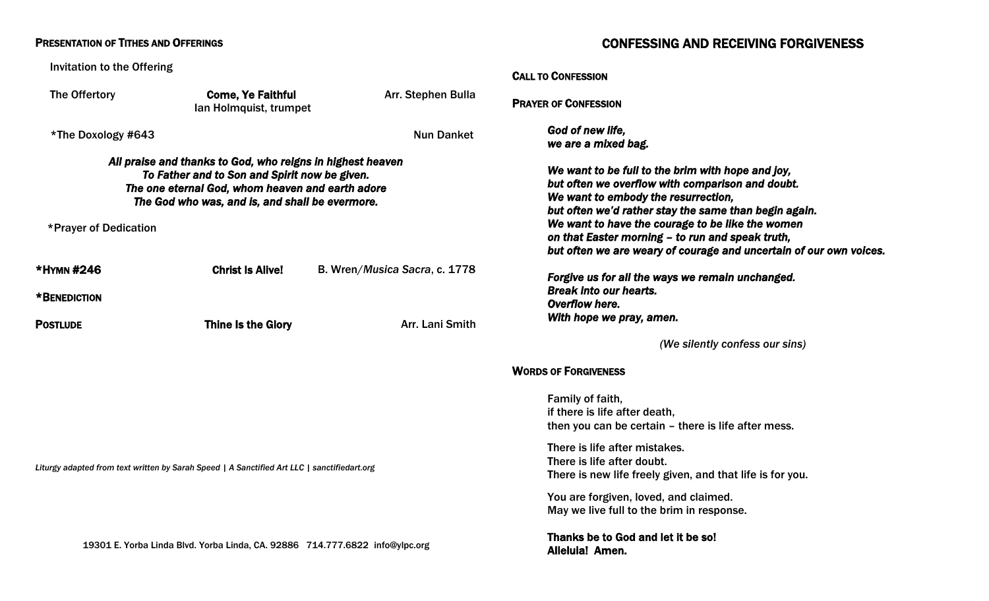| <b>PRESENTATION OF TITHES AND OFFERINGS</b>                                                 |                                                                                                                                                                                                                    |                               | <b>CONFESSING AND RECEIVING FORGIVENESS</b>                                                                                                                                                                                                                                                                                                                                         |  |
|---------------------------------------------------------------------------------------------|--------------------------------------------------------------------------------------------------------------------------------------------------------------------------------------------------------------------|-------------------------------|-------------------------------------------------------------------------------------------------------------------------------------------------------------------------------------------------------------------------------------------------------------------------------------------------------------------------------------------------------------------------------------|--|
| <b>Invitation to the Offering</b>                                                           |                                                                                                                                                                                                                    |                               | <b>CALL TO CONFESSION</b>                                                                                                                                                                                                                                                                                                                                                           |  |
| The Offertory                                                                               | <b>Come, Ye Faithful</b><br>Ian Holmquist, trumpet                                                                                                                                                                 | Arr. Stephen Bulla            | <b>PRAYER OF CONFESSION</b>                                                                                                                                                                                                                                                                                                                                                         |  |
| *The Doxology #643                                                                          |                                                                                                                                                                                                                    | <b>Nun Danket</b>             | God of new life,<br>we are a mixed bag.                                                                                                                                                                                                                                                                                                                                             |  |
| *Prayer of Dedication                                                                       | All praise and thanks to God, who reigns in highest heaven<br>To Father and to Son and Spirit now be given.<br>The one eternal God, whom heaven and earth adore<br>The God who was, and is, and shall be evermore. |                               | We want to be full to the brim with hope and joy,<br>but often we overflow with comparison and doubt.<br>We want to embody the resurrection,<br>but often we'd rather stay the same than begin again.<br>We want to have the courage to be like the women<br>on that Easter morning - to run and speak truth,<br>but often we are weary of courage and uncertain of our own voices. |  |
| *HYMN #246                                                                                  | <b>Christ Is Alive!</b>                                                                                                                                                                                            | B. Wren/Musica Sacra, c. 1778 | Forgive us for all the ways we remain unchanged.                                                                                                                                                                                                                                                                                                                                    |  |
| *BENEDICTION                                                                                |                                                                                                                                                                                                                    |                               | <b>Break into our hearts.</b><br>Overflow here.                                                                                                                                                                                                                                                                                                                                     |  |
| <b>POSTLUDE</b>                                                                             | <b>Thine Is the Glory</b>                                                                                                                                                                                          | Arr. Lani Smith               | With hope we pray, amen.                                                                                                                                                                                                                                                                                                                                                            |  |
|                                                                                             |                                                                                                                                                                                                                    |                               | (We silently confess our sins)                                                                                                                                                                                                                                                                                                                                                      |  |
|                                                                                             |                                                                                                                                                                                                                    |                               | <b>WORDS OF FORGIVENESS</b>                                                                                                                                                                                                                                                                                                                                                         |  |
|                                                                                             |                                                                                                                                                                                                                    |                               | Family of faith,<br>if there is life after death,<br>then you can be certain – there is life after mess.                                                                                                                                                                                                                                                                            |  |
| Liturgy adapted from text written by Sarah Speed   A Sanctified Art LLC   sanctifiedart.org |                                                                                                                                                                                                                    |                               | There is life after mistakes.<br>There is life after doubt.<br>There is new life freely given, and that life is for you.                                                                                                                                                                                                                                                            |  |
|                                                                                             |                                                                                                                                                                                                                    |                               | You are forgiven, loved, and claimed.<br>May we live full to the brim in response.                                                                                                                                                                                                                                                                                                  |  |
| 19301 E. Yorba Linda Blvd. Yorba Linda, CA. 92886 714.777.6822 info@ylpc.org                |                                                                                                                                                                                                                    |                               | Thanks be to God and let it be so!<br>Alleluia! Amen.                                                                                                                                                                                                                                                                                                                               |  |